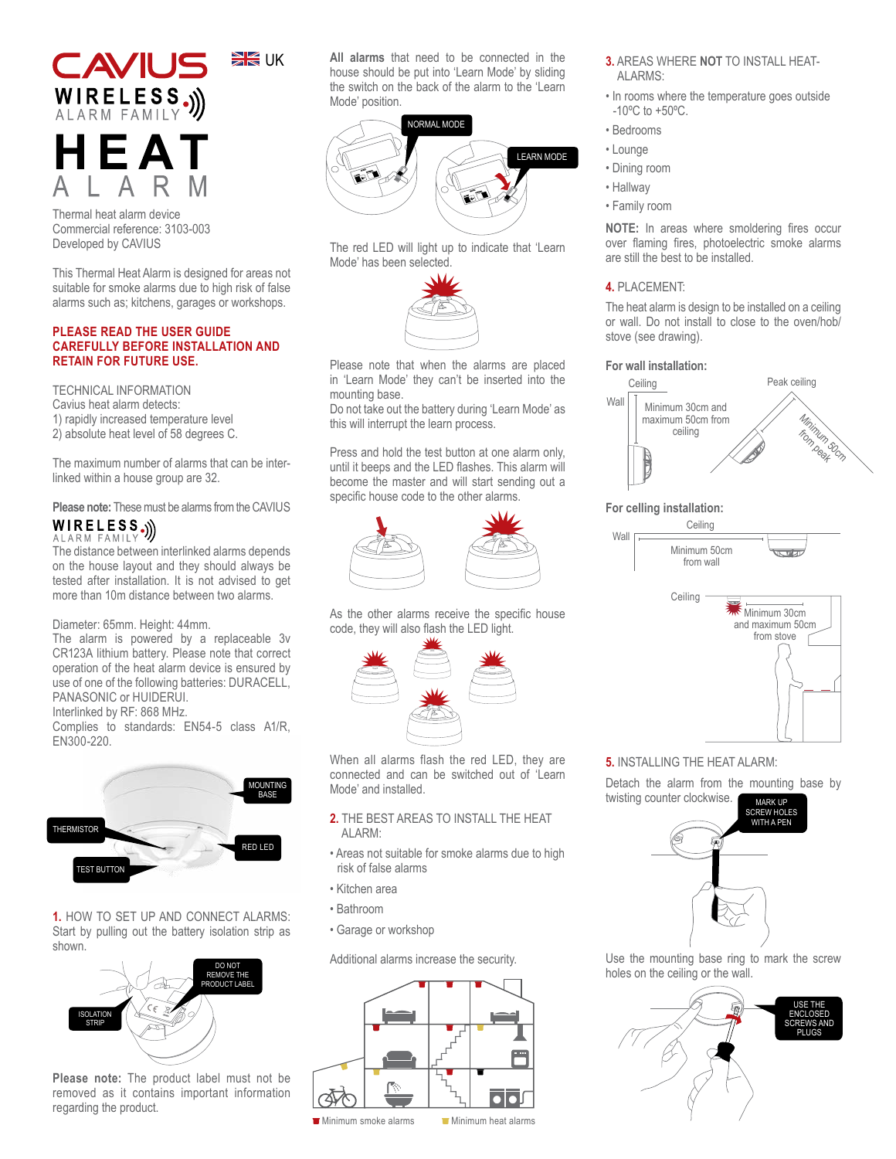

Thermal heat alarm device Commercial reference: 3103-003 Developed by CAVIUS

This Thermal Heat Alarm is designed for areas not suitable for smoke alarms due to high risk of false alarms such as; kitchens, garages or workshops.

### **PLEASE READ THE USER GUIDE CAREFULLY BEFORE INSTALLATION AND RETAIN FOR FUTURE USE.**

TECHNICAL INFORMATION Cavius heat alarm detects: 1) rapidly increased temperature level 2) absolute heat level of 58 degrees C.

The maximum number of alarms that can be interlinked within a house group are 32.

Please note: These must be alarms from the CAVIUS **WIRELESS**.)

# ALARM FAMILY

The distance between interlinked alarms depends on the house layout and they should always be tested after installation. It is not advised to get more than 10m distance between two alarms.

## Diameter: 65mm. Height: 44mm.

The alarm is powered by a replaceable 3v CR123A lithium battery. Please note that correct operation of the heat alarm device is ensured by use of one of the following batteries: DURACELL, PANASONIC or HUIDERUI.

Interlinked by RF: 868 MHz.

Complies to standards: EN54-5 class A1/R, EN300-220.



**1.** HOW TO SET UP AND CONNECT ALARMS: Start by pulling out the battery isolation strip as shown.



**Please note:** The product label must not be removed as it contains important information regarding the product.

**All alarms** that need to be connected in the house should be put into 'Learn Mode' by sliding the switch on the back of the alarm to the 'Learn Mode' position.



The red LED will light up to indicate that 'Learn Mode' has been selected.



Please note that when the alarms are placed in 'Learn Mode' they can't be inserted into the mounting base.

Do not take out the battery during 'Learn Mode' as this will interrupt the learn process.

Press and hold the test button at one alarm only, until it beeps and the LED flashes. This alarm will become the master and will start sending out a specific house code to the other alarms.



As the other alarms receive the specific house code, they will also flash the LED light.



When all alarms flash the red LED, they are connected and can be switched out of 'Learn Mode' and installed.

### **2.** THE BEST AREAS TO INSTALL THE HEAT AI ARM<sup>.</sup>

- Areas not suitable for smoke alarms due to high risk of false alarms
- Kitchen area
- Bathroom
- Garage or workshop

Additional alarms increase the security.



- **3.** AREAS WHERE **NOT** TO INSTALL HEAT-ALARMS:
- In rooms where the temperature goes outside -10ºC to +50ºC.
- Bedrooms
- Lounge
- Dining room
- Hallway
- Family room

**NOTE:** In areas where smoldering fires occur over flaming fires, photoelectric smoke alarms are still the best to be installed.

# **4.** PLACEMENT:

The heat alarm is design to be installed on a ceiling or wall. Do not install to close to the oven/hob/ stove (see drawing).

### **For wall installation:**



# **For celling installation:**

Wall



# **5.** INSTALLING THE HEAT ALARM:

Detach the alarm from the mounting base by twisting counter clockwise.



Use the mounting base ring to mark the screw holes on the ceiling or the wall.